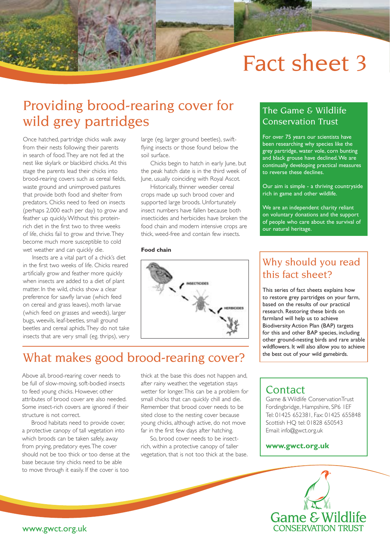# Fact sheet 3

# Providing brood-rearing cover for wild grey partridges

Once hatched, partridge chicks walk away from their nests following their parents in search of food. They are not fed at the nest like skylark or blackbird chicks. At this stage the parents lead their chicks into brood-rearing covers such as cereal fields, waste ground and unimproved pastures that provide both food and shelter from predators. Chicks need to feed on insects (perhaps 2,000 each per day) to grow and feather up quickly. Without this proteinrich diet in the first two to three weeks of life, chicks fail to grow and thrive. They become much more susceptible to cold wet weather and can quickly die.

Insects are a vital part of a chick's diet in the first two weeks of life. Chicks reared artificially grow and feather more quickly when insects are added to a diet of plant matter. In the wild, chicks show a clear preference for sawfly larvae (which feed on cereal and grass leaves), moth larvae (which feed on grasses and weeds), larger bugs, weevils, leaf-beetles, small ground beetles and cereal aphids. They do not take insects that are very small (eg. thrips), very

large (eg. larger ground beetles), swiftflying insects or those found below the soil surface.

Chicks begin to hatch in early June, but the peak hatch date is in the third week of June, usually coinciding with Royal Ascot.

Historically, thinner weedier cereal crops made up such brood cover and supported large broods. Unfortunately insect numbers have fallen because both insecticides and herbicides have broken the food chain and modern intensive crops are thick, weed-free and contain few insects.

#### **Food chain**



# What makes good brood-rearing cover?

Above all, brood-rearing cover needs to be full of slow-moving, soft-bodied insects to feed young chicks. However, other attributes of brood cover are also needed. Some insect-rich covers are ignored if their structure is not correct.

Brood habitats need to provide cover, a protective canopy of tall vegetation into which broods can be taken safely, away from prying, predatory eyes. The cover should not be too thick or too dense at the base because tiny chicks need to be able to move through it easily. If the cover is too

thick at the base this does not happen and, after rainy weather, the vegetation stays wetter for longer. This can be a problem for small chicks that can quickly chill and die. Remember that brood cover needs to be sited close to the nesting cover because young chicks, although active, do not move far in the first few days after hatching.

So, brood cover needs to be insectrich, within a protective canopy of taller vegetation, that is not too thick at the base.

### The Game & Wildlife Conservation Trust

For over 75 years our scientists have been researching why species like the grey partridge, water vole, corn bunting and black grouse have declined. We are continually developing practical measures to reverse these declines.

Our aim is simple - a thriving countryside rich in game and other wildlife.

We are an independent charity reliant on voluntary donations and the support of people who care about the survival of our natural heritage.

### Why should you read this fact sheet?

This series of fact sheets explains how to restore grey partridges on your farm, based on the results of our practical research. Restoring these birds on farmland will help us to achieve Biodiversity Action Plan (BAP) targets for this and other BAP species, including other ground-nesting birds and rare arable wildflowers. It will also allow you to achieve the best out of your wild gamebirds.

### **Contact**

Game & Wildlife ConservationTrust Fordingbridge, Hampshire, SP6 1EF Tel: 01425 652381, Fax: 01425 655848 Scottish HQ tel: 01828 650543 Email: info@gwct.org.uk

### **www.gwct.org.uk**